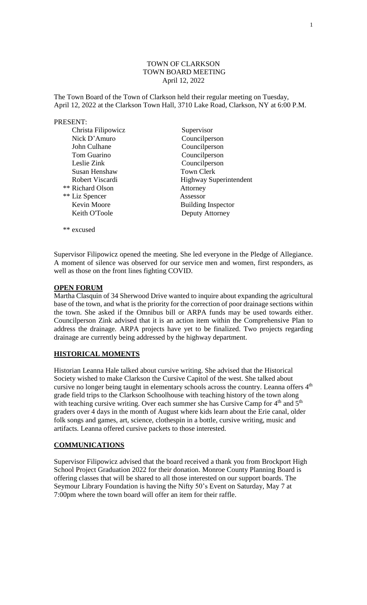## TOWN OF CLARKSON TOWN BOARD MEETING April 12, 2022

The Town Board of the Town of Clarkson held their regular meeting on Tuesday, April 12, 2022 at the Clarkson Town Hall, 3710 Lake Road, Clarkson, NY at 6:00 P.M.

### PRESENT:

| Christa Filipowicz | Supervisor                    |
|--------------------|-------------------------------|
| Nick D'Amuro       | Councilperson                 |
| John Culhane       | Councilperson                 |
| Tom Guarino        | Councilperson                 |
| Leslie Zink        | Councilperson                 |
| Susan Henshaw      | <b>Town Clerk</b>             |
| Robert Viscardi    | <b>Highway Superintendent</b> |
| ** Richard Olson   | Attorney                      |
| ** Liz Spencer     | Assessor                      |
| Kevin Moore        | <b>Building Inspector</b>     |
| Keith O'Toole      | Deputy Attorney               |
|                    |                               |

Supervisor Filipowicz opened the meeting. She led everyone in the Pledge of Allegiance. A moment of silence was observed for our service men and women, first responders, as well as those on the front lines fighting COVID.

# **OPEN FORUM**

\*\* excused

Martha Clasquin of 34 Sherwood Drive wanted to inquire about expanding the agricultural base of the town, and what is the priority for the correction of poor drainage sections within the town. She asked if the Omnibus bill or ARPA funds may be used towards either. Councilperson Zink advised that it is an action item within the Comprehensive Plan to address the drainage. ARPA projects have yet to be finalized. Two projects regarding drainage are currently being addressed by the highway department.

# **HISTORICAL MOMENTS**

Historian Leanna Hale talked about cursive writing. She advised that the Historical Society wished to make Clarkson the Cursive Capitol of the west. She talked about cursive no longer being taught in elementary schools across the country. Leanna offers 4<sup>th</sup> grade field trips to the Clarkson Schoolhouse with teaching history of the town along with teaching cursive writing. Over each summer she has Cursive Camp for 4<sup>th</sup> and 5<sup>th</sup> graders over 4 days in the month of August where kids learn about the Erie canal, older folk songs and games, art, science, clothespin in a bottle, cursive writing, music and artifacts. Leanna offered cursive packets to those interested.

### **COMMUNICATIONS**

Supervisor Filipowicz advised that the board received a thank you from Brockport High School Project Graduation 2022 for their donation. Monroe County Planning Board is offering classes that will be shared to all those interested on our support boards. The Seymour Library Foundation is having the Nifty 50's Event on Saturday, May 7 at 7:00pm where the town board will offer an item for their raffle.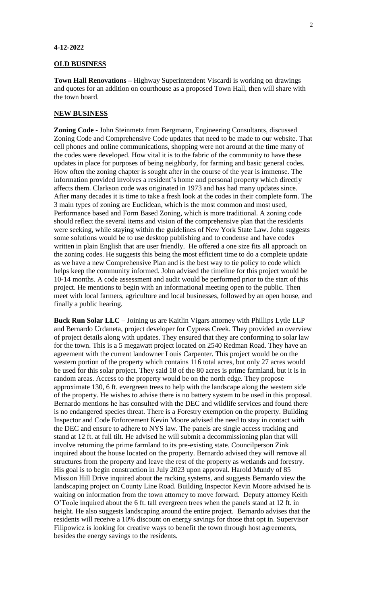#### **4-12-2022**

# **OLD BUSINESS**

**Town Hall Renovations –** Highway Superintendent Viscardi is working on drawings and quotes for an addition on courthouse as a proposed Town Hall, then will share with the town board.

## **NEW BUSINESS**

**Zoning Code -** John Steinmetz from Bergmann, Engineering Consultants, discussed Zoning Code and Comprehensive Code updates that need to be made to our website. That cell phones and online communications, shopping were not around at the time many of the codes were developed. How vital it is to the fabric of the community to have these updates in place for purposes of being neighborly, for farming and basic general codes. How often the zoning chapter is sought after in the course of the year is immense. The information provided involves a resident's home and personal property which directly affects them. Clarkson code was originated in 1973 and has had many updates since. After many decades it is time to take a fresh look at the codes in their complete form. The 3 main types of zoning are Euclidean, which is the most common and most used, Performance based and Form Based Zoning, which is more traditional. A zoning code should reflect the several items and vision of the comprehensive plan that the residents were seeking, while staying within the guidelines of New York State Law. John suggests some solutions would be to use desktop publishing and to condense and have codes written in plain English that are user friendly. He offered a one size fits all approach on the zoning codes. He suggests this being the most efficient time to do a complete update as we have a new Comprehensive Plan and is the best way to tie policy to code which helps keep the community informed. John advised the timeline for this project would be 10-14 months. A code assessment and audit would be performed prior to the start of this project. He mentions to begin with an informational meeting open to the public. Then meet with local farmers, agriculture and local businesses, followed by an open house, and finally a public hearing.

**Buck Run Solar LLC** – Joining us are Kaitlin Vigars attorney with Phillips Lytle LLP and Bernardo Urdaneta, project developer for Cypress Creek. They provided an overview of project details along with updates. They ensured that they are conforming to solar law for the town. This is a 5 megawatt project located on 2540 Redman Road. They have an agreement with the current landowner Louis Carpenter. This project would be on the western portion of the property which contains 116 total acres, but only 27 acres would be used for this solar project. They said 18 of the 80 acres is prime farmland, but it is in random areas. Access to the property would be on the north edge. They propose approximate 130, 6 ft. evergreen trees to help with the landscape along the western side of the property. He wishes to advise there is no battery system to be used in this proposal. Bernardo mentions he has consulted with the DEC and wildlife services and found there is no endangered species threat. There is a Forestry exemption on the property. Building Inspector and Code Enforcement Kevin Moore advised the need to stay in contact with the DEC and ensure to adhere to NYS law. The panels are single access tracking and stand at 12 ft. at full tilt. He advised he will submit a decommissioning plan that will involve returning the prime farmland to its pre-existing state. Councilperson Zink inquired about the house located on the property. Bernardo advised they will remove all structures from the property and leave the rest of the property as wetlands and forestry. His goal is to begin construction in July 2023 upon approval. Harold Mundy of 85 Mission Hill Drive inquired about the racking systems, and suggests Bernardo view the landscaping project on County Line Road. Building Inspector Kevin Moore advised he is waiting on information from the town attorney to move forward. Deputy attorney Keith O'Toole inquired about the 6 ft. tall evergreen trees when the panels stand at 12 ft. in height. He also suggests landscaping around the entire project. Bernardo advises that the residents will receive a 10% discount on energy savings for those that opt in. Supervisor Filipowicz is looking for creative ways to benefit the town through host agreements, besides the energy savings to the residents.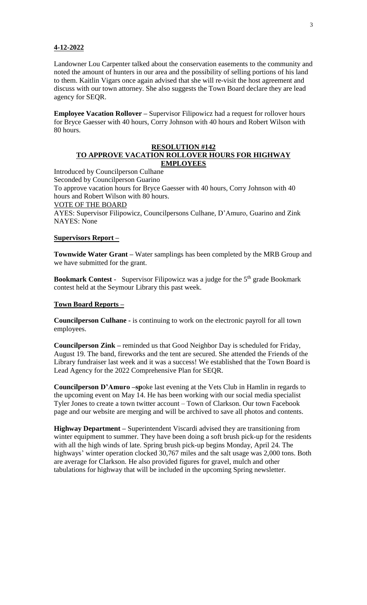### **4-12-2022**

Landowner Lou Carpenter talked about the conservation easements to the community and noted the amount of hunters in our area and the possibility of selling portions of his land to them. Kaitlin Vigars once again advised that she will re-visit the host agreement and discuss with our town attorney. She also suggests the Town Board declare they are lead agency for SEQR.

**Employee Vacation Rollover –** Supervisor Filipowicz had a request for rollover hours for Bryce Gaesser with 40 hours, Corry Johnson with 40 hours and Robert Wilson with 80 hours.

### **RESOLUTION #142 TO APPROVE VACATION ROLLOVER HOURS FOR HIGHWAY EMPLOYEES**

Introduced by Councilperson Culhane Seconded by Councilperson Guarino To approve vacation hours for Bryce Gaesser with 40 hours, Corry Johnson with 40 hours and Robert Wilson with 80 hours. VOTE OF THE BOARD AYES: Supervisor Filipowicz, Councilpersons Culhane, D'Amuro, Guarino and Zink NAYES: None

# **Supervisors Report –**

**Townwide Water Grant –** Water samplings has been completed by the MRB Group and we have submitted for the grant.

**Bookmark Contest** - Supervisor Filipowicz was a judge for the 5<sup>th</sup> grade Bookmark contest held at the Seymour Library this past week.

## **Town Board Reports –**

**Councilperson Culhane -** is continuing to work on the electronic payroll for all town employees.

**Councilperson Zink –** reminded us that Good Neighbor Day is scheduled for Friday, August 19. The band, fireworks and the tent are secured. She attended the Friends of the Library fundraiser last week and it was a success! We established that the Town Board is Lead Agency for the 2022 Comprehensive Plan for SEQR.

**Councilperson D'Amuro –sp**oke last evening at the Vets Club in Hamlin in regards to the upcoming event on May 14. He has been working with our social media specialist Tyler Jones to create a town twitter account – Town of Clarkson. Our town Facebook page and our website are merging and will be archived to save all photos and contents.

**Highway Department –** Superintendent Viscardi advised they are transitioning from winter equipment to summer. They have been doing a soft brush pick-up for the residents with all the high winds of late. Spring brush pick-up begins Monday, April 24. The highways' winter operation clocked 30,767 miles and the salt usage was 2,000 tons. Both are average for Clarkson. He also provided figures for gravel, mulch and other tabulations for highway that will be included in the upcoming Spring newsletter.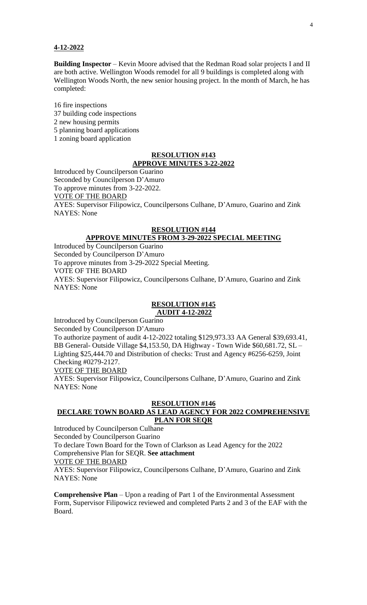#### **4-12-2022**

**Building Inspector** – Kevin Moore advised that the Redman Road solar projects I and II are both active. Wellington Woods remodel for all 9 buildings is completed along with Wellington Woods North, the new senior housing project. In the month of March, he has completed:

 fire inspections building code inspections new housing permits planning board applications zoning board application

## **RESOLUTION #143 APPROVE MINUTES 3-22-2022**

Introduced by Councilperson Guarino Seconded by Councilperson D'Amuro To approve minutes from 3-22-2022. VOTE OF THE BOARD AYES: Supervisor Filipowicz, Councilpersons Culhane, D'Amuro, Guarino and Zink NAYES: None

### **RESOLUTION #144 APPROVE MINUTES FROM 3-29-2022 SPECIAL MEETING**

Introduced by Councilperson Guarino Seconded by Councilperson D'Amuro To approve minutes from 3-29-2022 Special Meeting. VOTE OF THE BOARD AYES: Supervisor Filipowicz, Councilpersons Culhane, D'Amuro, Guarino and Zink NAYES: None

## **RESOLUTION #145 AUDIT 4-12-2022**

Introduced by Councilperson Guarino

Seconded by Councilperson D'Amuro

To authorize payment of audit 4-12-2022 totaling \$129,973.33 AA General \$39,693.41, BB General- Outside Village \$4,153.50, DA Highway - Town Wide \$60,681.72, SL – Lighting \$25,444.70 and Distribution of checks: Trust and Agency #6256-6259, Joint Checking #0279-2127.

## VOTE OF THE BOARD

AYES: Supervisor Filipowicz, Councilpersons Culhane, D'Amuro, Guarino and Zink NAYES: None

# **RESOLUTION #146**

# **DECLARE TOWN BOARD AS LEAD AGENCY FOR 2022 COMPREHENSIVE PLAN FOR SEQR**

Introduced by Councilperson Culhane Seconded by Councilperson Guarino To declare Town Board for the Town of Clarkson as Lead Agency for the 2022 Comprehensive Plan for SEQR. **See attachment** VOTE OF THE BOARD AYES: Supervisor Filipowicz, Councilpersons Culhane, D'Amuro, Guarino and Zink NAYES: None

**Comprehensive Plan** – Upon a reading of Part 1 of the Environmental Assessment Form, Supervisor Filipowicz reviewed and completed Parts 2 and 3 of the EAF with the Board.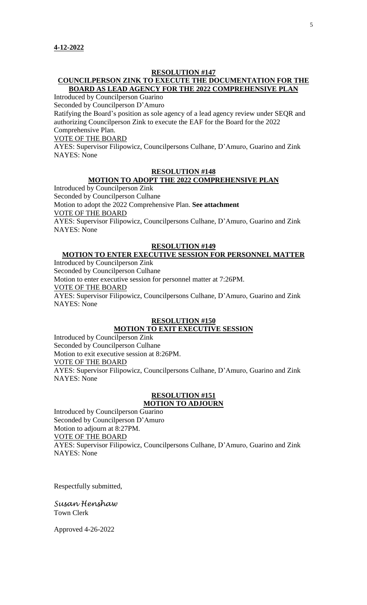### **RESOLUTION #147**

# **COUNCILPERSON ZINK TO EXECUTE THE DOCUMENTATION FOR THE BOARD AS LEAD AGENCY FOR THE 2022 COMPREHENSIVE PLAN**

Introduced by Councilperson Guarino

Seconded by Councilperson D'Amuro

Ratifying the Board's position as sole agency of a lead agency review under SEQR and authorizing Councilperson Zink to execute the EAF for the Board for the 2022 Comprehensive Plan.

VOTE OF THE BOARD

AYES: Supervisor Filipowicz, Councilpersons Culhane, D'Amuro, Guarino and Zink NAYES: None

## **RESOLUTION #148**

### **MOTION TO ADOPT THE 2022 COMPREHENSIVE PLAN**

Introduced by Councilperson Zink Seconded by Councilperson Culhane Motion to adopt the 2022 Comprehensive Plan. **See attachment** VOTE OF THE BOARD AYES: Supervisor Filipowicz, Councilpersons Culhane, D'Amuro, Guarino and Zink NAYES: None

### **RESOLUTION #149**

# **MOTION TO ENTER EXECUTIVE SESSION FOR PERSONNEL MATTER**

Introduced by Councilperson Zink Seconded by Councilperson Culhane Motion to enter executive session for personnel matter at 7:26PM. VOTE OF THE BOARD AYES: Supervisor Filipowicz, Councilpersons Culhane, D'Amuro, Guarino and Zink NAYES: None

# **RESOLUTION #150**

# **MOTION TO EXIT EXECUTIVE SESSION**

Introduced by Councilperson Zink Seconded by Councilperson Culhane Motion to exit executive session at 8:26PM.

VOTE OF THE BOARD

AYES: Supervisor Filipowicz, Councilpersons Culhane, D'Amuro, Guarino and Zink NAYES: None

#### **RESOLUTION #151 MOTION TO ADJOURN**

Introduced by Councilperson Guarino Seconded by Councilperson D'Amuro Motion to adjourn at 8:27PM. VOTE OF THE BOARD AYES: Supervisor Filipowicz, Councilpersons Culhane, D'Amuro, Guarino and Zink NAYES: None

Respectfully submitted,

*Susan Henshaw* Town Clerk

Approved 4-26-2022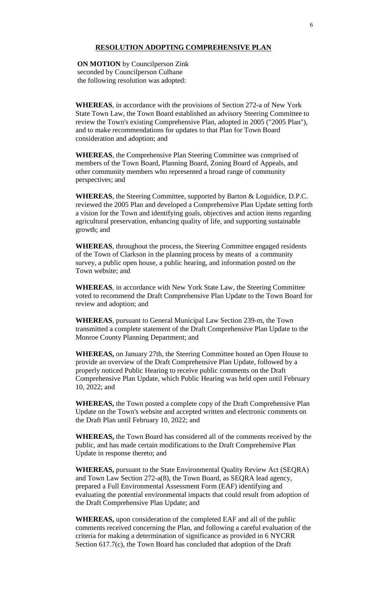### **RESOLUTION ADOPTING COMPREHENSIVE PLAN**

 **ON MOTION** by Councilperson Zink seconded by Councilperson Culhane the following resolution was adopted:

**WHEREAS**, in accordance with the provisions of Section 272-a of New York State Town Law, the Town Board established an advisory Steering Committee to review the Town's existing Comprehensive Plan, adopted in 2005 ("2005 Plan"), and to make recommendations for updates to that Plan for Town Board consideration and adoption; and

**WHEREAS**, the Comprehensive Plan Steering Committee was comprised of members of the Town Board, Planning Board, Zoning Board of Appeals, and other community members who represented a broad range of community perspectives; and

**WHEREAS**, the Steering Committee, supported by Barton & Loguidice, D.P.C. reviewed the 2005 Plan and developed a Comprehensive Plan Update setting forth a vision for the Town and identifying goals, objectives and action items regarding agricultural preservation, enhancing quality of life, and supporting sustainable growth; and

**WHEREAS**, throughout the process, the Steering Committee engaged residents of the Town of Clarkson in the planning process by means of a community survey, a public open house, a public hearing, and information posted on the Town website; and

**WHEREAS**, in accordance with New York State Law, the Steering Committee voted to recommend the Draft Comprehensive Plan Update to the Town Board for review and adoption; and

**WHEREAS**, pursuant to General Municipal Law Section 239-m, the Town transmitted a complete statement of the Draft Comprehensive Plan Update to the Monroe County Planning Department; and

**WHEREAS,** on January 27th, the Steering Committee hosted an Open House to provide an overview of the Draft Comprehensive Plan Update, followed by a properly noticed Public Hearing to receive public comments on the Draft Comprehensive Plan Update, which Public Hearing was held open until February 10, 2022; and

**WHEREAS,** the Town posted a complete copy of the Draft Comprehensive Plan Update on the Town's website and accepted written and electronic comments on the Draft Plan until February 10, 2022; and

**WHEREAS,** the Town Board has considered all of the comments received by the public, and has made certain modifications to the Draft Comprehensive Plan Update in response thereto; and

**WHEREAS,** pursuant to the State Environmental Quality Review Act (SEQRA) and Town Law Section 272-a(8), the Town Board, as SEQRA lead agency, prepared a Full Environmental Assessment Form (EAF) identifying and evaluating the potential environmental impacts that could result from adoption of the Draft Comprehensive Plan Update; and

**WHEREAS,** upon consideration of the completed EAF and all of the public comments received concerning the Plan, and following a careful evaluation of the criteria for making a determination of significance as provided in 6 NYCRR Section 617.7(c), the Town Board has concluded that adoption of the Draft